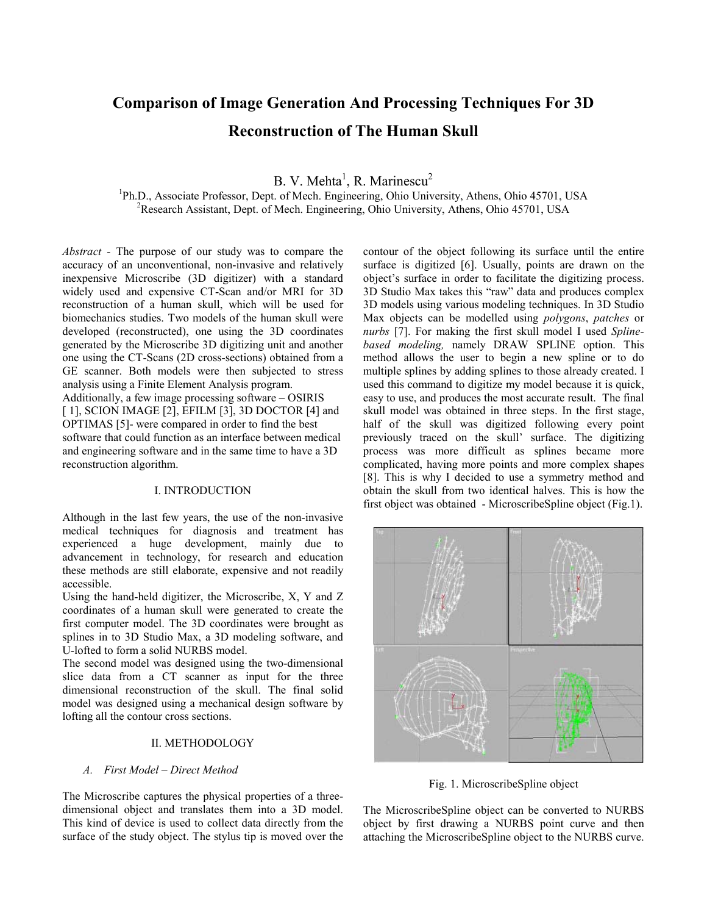# **Comparison of Image Generation And Processing Techniques For 3D Reconstruction of The Human Skull**

B. V. Mehta<sup>1</sup>, R. Marinescu<sup>2</sup>

<sup>1</sup>Ph.D., Associate Professor, Dept. of Mech. Engineering, Ohio University, Athens, Ohio 45701, USA 2 Research Assistant, Dept. of Mech. Engineering, Ohio University, Athens, Ohio 45701, USA

*Abstract -* The purpose of our study was to compare the accuracy of an unconventional, non-invasive and relatively inexpensive Microscribe (3D digitizer) with a standard widely used and expensive CT-Scan and/or MRI for 3D reconstruction of a human skull, which will be used for biomechanics studies. Two models of the human skull were developed (reconstructed), one using the 3D coordinates generated by the Microscribe 3D digitizing unit and another one using the CT-Scans (2D cross-sections) obtained from a GE scanner. Both models were then subjected to stress analysis using a Finite Element Analysis program. Additionally, a few image processing software  $-$  OSIRIS [ 1], SCION IMAGE [2], EFILM [3], 3D DOCTOR [4] and OPTIMAS [5]- were compared in order to find the best software that could function as an interface between medical and engineering software and in the same time to have a 3D reconstruction algorithm.

#### I. INTRODUCTION

Although in the last few years, the use of the non-invasive medical techniques for diagnosis and treatment has experienced a huge development, mainly due to advancement in technology, for research and education these methods are still elaborate, expensive and not readily accessible.

Using the hand-held digitizer, the Microscribe, X, Y and Z coordinates of a human skull were generated to create the first computer model. The 3D coordinates were brought as splines in to 3D Studio Max, a 3D modeling software, and U-lofted to form a solid NURBS model.

The second model was designed using the two-dimensional slice data from a CT scanner as input for the three dimensional reconstruction of the skull. The final solid model was designed using a mechanical design software by lofting all the contour cross sections.

## II. METHODOLOGY

## *A.* First Model - Direct Method

The Microscribe captures the physical properties of a threedimensional object and translates them into a 3D model. This kind of device is used to collect data directly from the surface of the study object. The stylus tip is moved over the

contour of the object following its surface until the entire surface is digitized [6]. Usually, points are drawn on the object's surface in order to facilitate the digitizing process. 3D Studio Max takes this "raw" data and produces complex 3D models using various modeling techniques. In 3D Studio Max objects can be modelled using *polygons*, *patches* or *nurbs* [7]. For making the first skull model I used *Splinebased modeling,* namely DRAW SPLINE option. This method allows the user to begin a new spline or to do multiple splines by adding splines to those already created. I used this command to digitize my model because it is quick, easy to use, and produces the most accurate result. The final skull model was obtained in three steps. In the first stage, half of the skull was digitized following every point previously traced on the skull' surface. The digitizing process was more difficult as splines became more complicated, having more points and more complex shapes [8]. This is why I decided to use a symmetry method and obtain the skull from two identical halves. This is how the first object was obtained - MicroscribeSpline object (Fig.1).



Fig. 1. MicroscribeSpline object

The MicroscribeSpline object can be converted to NURBS object by first drawing a NURBS point curve and then attaching the MicroscribeSpline object to the NURBS curve.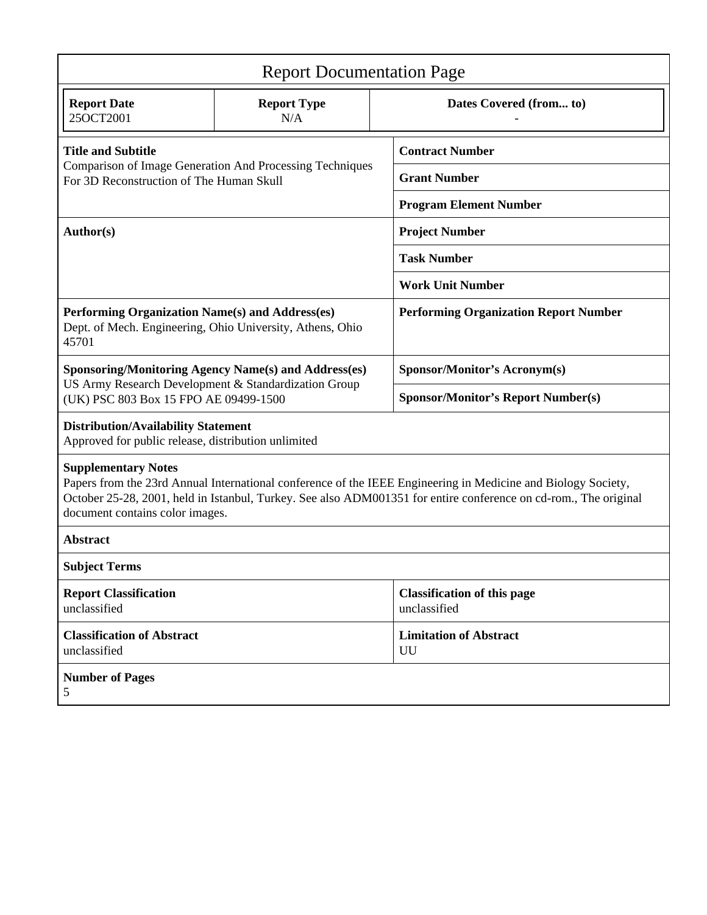| <b>Report Documentation Page</b>                                                                                                                                                                                                                                                                   |                                                             |                                                    |  |  |  |  |
|----------------------------------------------------------------------------------------------------------------------------------------------------------------------------------------------------------------------------------------------------------------------------------------------------|-------------------------------------------------------------|----------------------------------------------------|--|--|--|--|
| <b>Report Date</b><br>25OCT2001                                                                                                                                                                                                                                                                    | <b>Report Type</b><br>N/A                                   | Dates Covered (from to)                            |  |  |  |  |
| <b>Title and Subtitle</b>                                                                                                                                                                                                                                                                          |                                                             | <b>Contract Number</b>                             |  |  |  |  |
| For 3D Reconstruction of The Human Skull                                                                                                                                                                                                                                                           | Comparison of Image Generation And Processing Techniques    | <b>Grant Number</b>                                |  |  |  |  |
|                                                                                                                                                                                                                                                                                                    |                                                             | <b>Program Element Number</b>                      |  |  |  |  |
| Author(s)                                                                                                                                                                                                                                                                                          |                                                             | <b>Project Number</b>                              |  |  |  |  |
|                                                                                                                                                                                                                                                                                                    |                                                             | <b>Task Number</b>                                 |  |  |  |  |
|                                                                                                                                                                                                                                                                                                    |                                                             | <b>Work Unit Number</b>                            |  |  |  |  |
| Performing Organization Name(s) and Address(es)<br>Dept. of Mech. Engineering, Ohio University, Athens, Ohio<br>45701                                                                                                                                                                              |                                                             | <b>Performing Organization Report Number</b>       |  |  |  |  |
|                                                                                                                                                                                                                                                                                                    | <b>Sponsoring/Monitoring Agency Name(s) and Address(es)</b> | <b>Sponsor/Monitor's Acronym(s)</b>                |  |  |  |  |
| US Army Research Development & Standardization Group<br>(UK) PSC 803 Box 15 FPO AE 09499-1500                                                                                                                                                                                                      |                                                             | <b>Sponsor/Monitor's Report Number(s)</b>          |  |  |  |  |
| <b>Distribution/Availability Statement</b><br>Approved for public release, distribution unlimited                                                                                                                                                                                                  |                                                             |                                                    |  |  |  |  |
| <b>Supplementary Notes</b><br>Papers from the 23rd Annual International conference of the IEEE Engineering in Medicine and Biology Society,<br>October 25-28, 2001, held in Istanbul, Turkey. See also ADM001351 for entire conference on cd-rom., The original<br>document contains color images. |                                                             |                                                    |  |  |  |  |
| <b>Abstract</b>                                                                                                                                                                                                                                                                                    |                                                             |                                                    |  |  |  |  |
| <b>Subject Terms</b>                                                                                                                                                                                                                                                                               |                                                             |                                                    |  |  |  |  |
| <b>Report Classification</b><br>unclassified                                                                                                                                                                                                                                                       |                                                             | <b>Classification of this page</b><br>unclassified |  |  |  |  |
| <b>Classification of Abstract</b><br>unclassified                                                                                                                                                                                                                                                  |                                                             | <b>Limitation of Abstract</b><br>UU                |  |  |  |  |
| <b>Number of Pages</b><br>5                                                                                                                                                                                                                                                                        |                                                             |                                                    |  |  |  |  |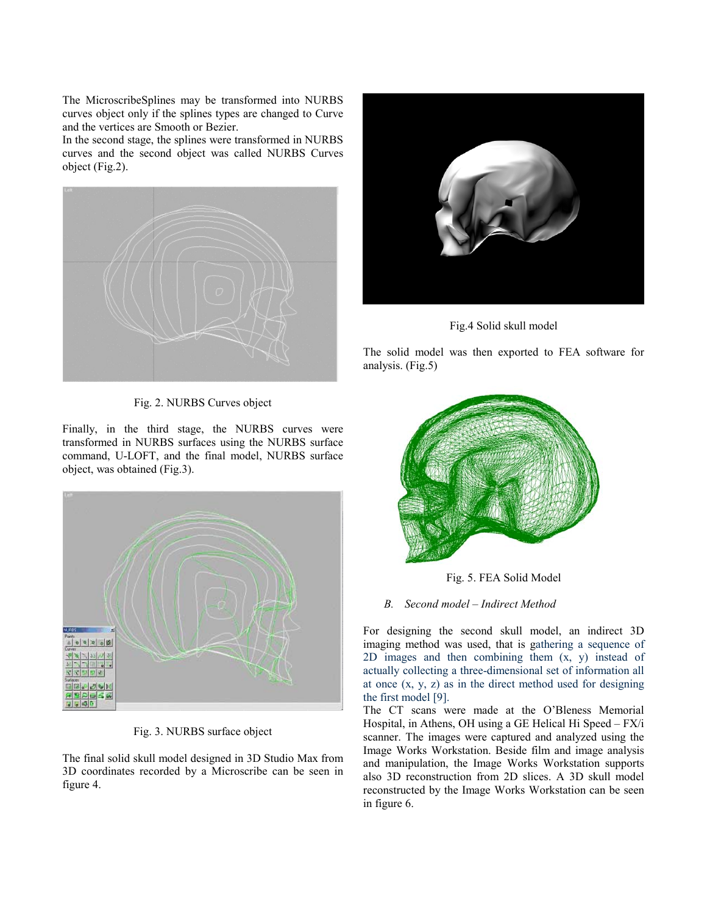The MicroscribeSplines may be transformed into NURBS curves object only if the splines types are changed to Curve and the vertices are Smooth or Bezier.

In the second stage, the splines were transformed in NURBS curves and the second object was called NURBS Curves object (Fig.2).



Fig. 2. NURBS Curves object

Finally, in the third stage, the NURBS curves were transformed in NURBS surfaces using the NURBS surface command, U-LOFT, and the final model, NURBS surface object, was obtained (Fig.3).



Fig. 3. NURBS surface object

The final solid skull model designed in 3D Studio Max from 3D coordinates recorded by a Microscribe can be seen in figure 4.



Fig.4 Solid skull model

The solid model was then exported to FEA software for analysis. (Fig.5)



Fig. 5. FEA Solid Model

## *B.* Second model - Indirect Method

For designing the second skull model, an indirect 3D imaging method was used, that is gathering a sequence of 2D images and then combining them (x, y) instead of actually collecting a three-dimensional set of information all at once (x, y, z) as in the direct method used for designing the first model [9].

The CT scans were made at the O'Bleness Memorial Hospital, in Athens, OH using a GE Helical Hi Speed - FX/i scanner. The images were captured and analyzed using the Image Works Workstation. Beside film and image analysis and manipulation, the Image Works Workstation supports also 3D reconstruction from 2D slices. A 3D skull model reconstructed by the Image Works Workstation can be seen in figure 6.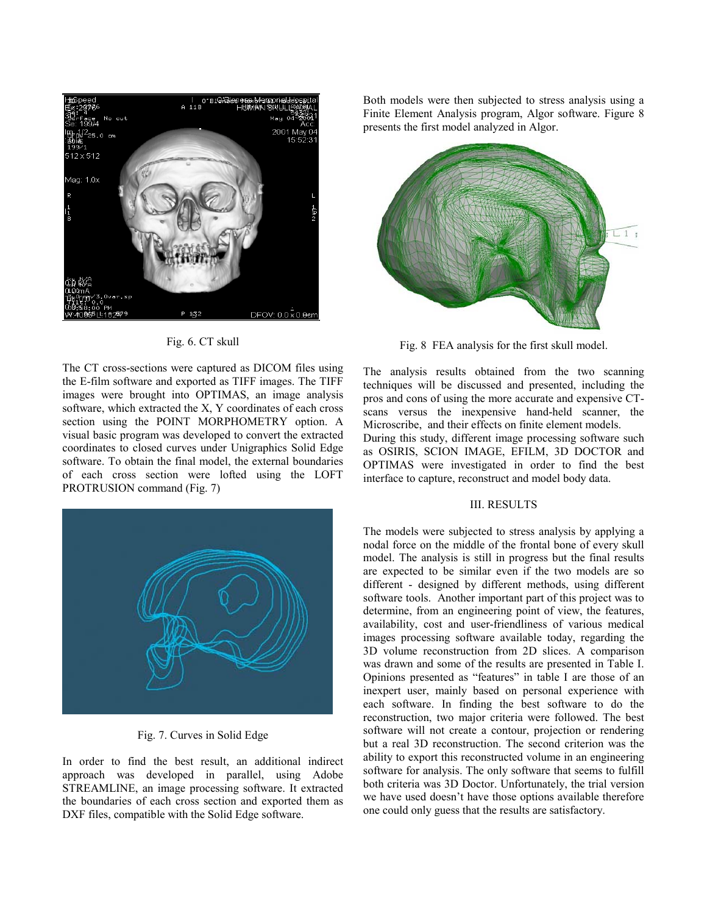

Fig. 6. CT skull

The CT cross-sections were captured as DICOM files using the E-film software and exported as TIFF images. The TIFF images were brought into OPTIMAS, an image analysis software, which extracted the X, Y coordinates of each cross section using the POINT MORPHOMETRY option. A visual basic program was developed to convert the extracted coordinates to closed curves under Unigraphics Solid Edge software. To obtain the final model, the external boundaries of each cross section were lofted using the LOFT PROTRUSION command (Fig. 7)



Fig. 7. Curves in Solid Edge

In order to find the best result, an additional indirect approach was developed in parallel, using Adobe STREAMLINE, an image processing software. It extracted the boundaries of each cross section and exported them as DXF files, compatible with the Solid Edge software.

Both models were then subjected to stress analysis using a Finite Element Analysis program, Algor software. Figure 8 presents the first model analyzed in Algor.



Fig. 8 FEA analysis for the first skull model.

The analysis results obtained from the two scanning techniques will be discussed and presented, including the pros and cons of using the more accurate and expensive CTscans versus the inexpensive hand-held scanner, the Microscribe, and their effects on finite element models. During this study, different image processing software such as OSIRIS, SCION IMAGE, EFILM, 3D DOCTOR and

OPTIMAS were investigated in order to find the best interface to capture, reconstruct and model body data.

## III. RESULTS

The models were subjected to stress analysis by applying a nodal force on the middle of the frontal bone of every skull model. The analysis is still in progress but the final results are expected to be similar even if the two models are so different - designed by different methods, using different software tools. Another important part of this project was to determine, from an engineering point of view, the features, availability, cost and user-friendliness of various medical images processing software available today, regarding the 3D volume reconstruction from 2D slices. A comparison was drawn and some of the results are presented in Table I. Opinions presented as "features" in table I are those of an inexpert user, mainly based on personal experience with each software. In finding the best software to do the reconstruction, two major criteria were followed. The best software will not create a contour, projection or rendering but a real 3D reconstruction. The second criterion was the ability to export this reconstructed volume in an engineering software for analysis. The only software that seems to fulfill both criteria was 3D Doctor. Unfortunately, the trial version we have used doesn't have those options available therefore one could only guess that the results are satisfactory.